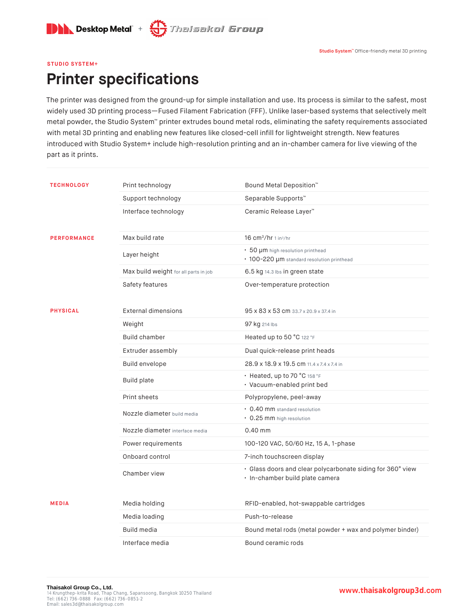

#### **STUDIO SYSTEM+**

## **Printer specifications**

The printer was designed from the ground-up for simple installation and use. Its process is similar to the safest, most widely used 3D printing process—Fused Filament Fabrication (FFF). Unlike laser-based systems that selectively melt metal powder, the Studio System™ printer extrudes bound metal rods, eliminating the safety requirements associated with metal 3D printing and enabling new features like closed-cell infill for lightweight strength. New features introduced with Studio System+ include high-resolution printing and an in-chamber camera for live viewing of the part as it prints.

| <b>TECHNOLOGY</b>  | Print technology                      | Bound Metal Deposition <sup>™</sup>                                                           |
|--------------------|---------------------------------------|-----------------------------------------------------------------------------------------------|
|                    |                                       | Separable Supports™                                                                           |
|                    | Support technology                    |                                                                                               |
|                    | Interface technology                  | Ceramic Release Layer™                                                                        |
|                    |                                       |                                                                                               |
| <b>PERFORMANCE</b> | Max build rate                        | $16 \text{ cm}^3/\text{hr}$ 1 in $^3/\text{hr}$                                               |
|                    | Layer height                          | • 50 µm high resolution printhead<br>• 100-220 µm standard resolution printhead               |
|                    | Max build weight for all parts in job | 6.5 kg 14.3 lbs in green state                                                                |
|                    | Safety features                       | Over-temperature protection                                                                   |
| <b>PHYSICAL</b>    | <b>External dimensions</b>            | 95 x 83 x 53 cm 33.7 x 20.9 x 37.4 in                                                         |
|                    | Weight                                | 97 kg 214 lbs                                                                                 |
|                    | <b>Build chamber</b>                  | Heated up to 50 °C 122 °F                                                                     |
|                    | Extruder assembly                     | Dual quick-release print heads                                                                |
|                    | Build envelope                        | 28.9 x 18.9 x 19.5 cm 11.4 x 7.4 x 7.4 in                                                     |
|                    | <b>Build plate</b>                    | • Heated, up to 70 °C 158 °F<br>· Vacuum-enabled print bed                                    |
|                    | Print sheets                          | Polypropylene, peel-away                                                                      |
|                    | Nozzle diameter build media           | • 0.40 mm standard resolution<br>• 0.25 mm high resolution                                    |
|                    | Nozzle diameter interface media       | $0.40$ mm                                                                                     |
|                    | Power requirements                    | 100-120 VAC, 50/60 Hz, 15 A, 1-phase                                                          |
|                    | Onboard control                       | 7-inch touchscreen display                                                                    |
|                    | Chamber view                          | · Glass doors and clear polycarbonate siding for 360° view<br>· In-chamber build plate camera |
| <b>MEDIA</b>       | Media holding                         | RFID-enabled, hot-swappable cartridges                                                        |
|                    | Media loading                         | Push-to-release                                                                               |
|                    | Build media                           | Bound metal rods (metal powder + wax and polymer binder)                                      |
|                    | Interface media                       | Bound ceramic rods                                                                            |